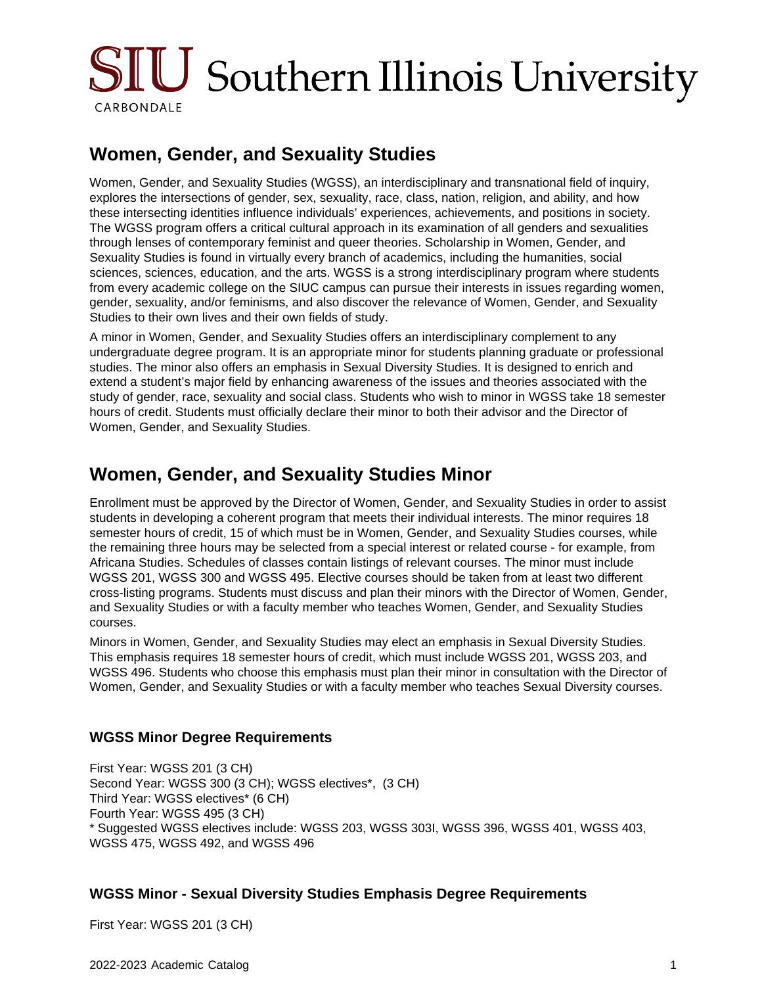

# **Women, Gender, and Sexuality Studies**

Women, Gender, and Sexuality Studies (WGSS), an interdisciplinary and transnational field of inquiry, explores the intersections of gender, sex, sexuality, race, class, nation, religion, and ability, and how these intersecting identities influence individuals' experiences, achievements, and positions in society. The WGSS program offers a critical cultural approach in its examination of all genders and sexualities through lenses of contemporary feminist and queer theories. Scholarship in Women, Gender, and Sexuality Studies is found in virtually every branch of academics, including the humanities, social sciences, sciences, education, and the arts. WGSS is a strong interdisciplinary program where students from every academic college on the SIUC campus can pursue their interests in issues regarding women, gender, sexuality, and/or feminisms, and also discover the relevance of Women, Gender, and Sexuality Studies to their own lives and their own fields of study.

A minor in Women, Gender, and Sexuality Studies offers an interdisciplinary complement to any undergraduate degree program. It is an appropriate minor for students planning graduate or professional studies. The minor also offers an emphasis in Sexual Diversity Studies. It is designed to enrich and extend a student's major field by enhancing awareness of the issues and theories associated with the study of gender, race, sexuality and social class. Students who wish to minor in WGSS take 18 semester hours of credit. Students must officially declare their minor to both their advisor and the Director of Women, Gender, and Sexuality Studies.

## **Women, Gender, and Sexuality Studies Minor**

Enrollment must be approved by the Director of Women, Gender, and Sexuality Studies in order to assist students in developing a coherent program that meets their individual interests. The minor requires 18 semester hours of credit, 15 of which must be in Women, Gender, and Sexuality Studies courses, while the remaining three hours may be selected from a special interest or related course - for example, from Africana Studies. Schedules of classes contain listings of relevant courses. The minor must include WGSS 201, WGSS 300 and WGSS 495. Elective courses should be taken from at least two different cross-listing programs. Students must discuss and plan their minors with the Director of Women, Gender, and Sexuality Studies or with a faculty member who teaches Women, Gender, and Sexuality Studies courses.

Minors in Women, Gender, and Sexuality Studies may elect an emphasis in Sexual Diversity Studies. This emphasis requires 18 semester hours of credit, which must include WGSS 201, WGSS 203, and WGSS 496. Students who choose this emphasis must plan their minor in consultation with the Director of Women, Gender, and Sexuality Studies or with a faculty member who teaches Sexual Diversity courses.

### **WGSS Minor Degree Requirements**

First Year: WGSS 201 (3 CH) Second Year: WGSS 300 (3 CH); WGSS electives\*, (3 CH) Third Year: WGSS electives\* (6 CH) Fourth Year: WGSS 495 (3 CH) \* Suggested WGSS electives include: WGSS 203, WGSS 303I, WGSS 396, WGSS 401, WGSS 403, WGSS 475, WGSS 492, and WGSS 496

### **WGSS Minor - Sexual Diversity Studies Emphasis Degree Requirements**

First Year: WGSS 201 (3 CH)